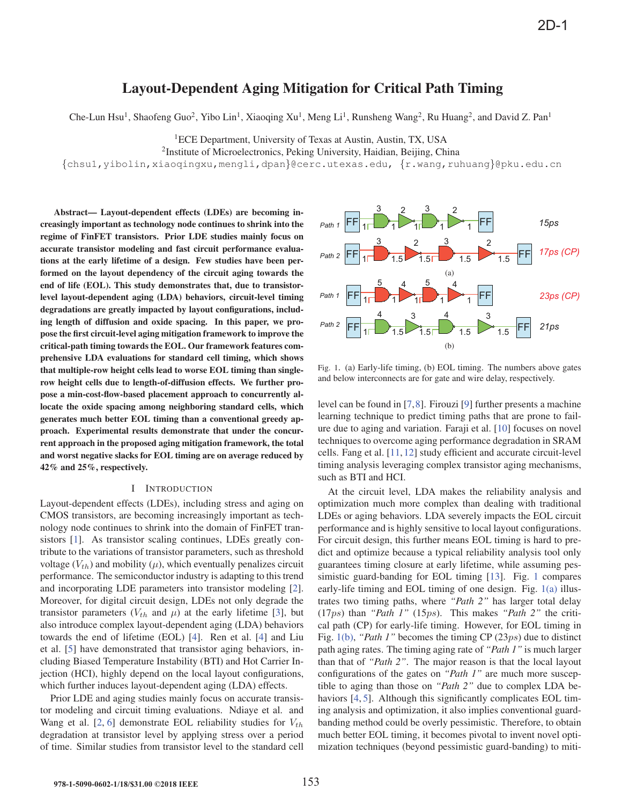# Layout-Dependent Aging Mitigation for Critical Path Timing

Che-Lun Hsu<sup>1</sup>, Shaofeng Guo<sup>2</sup>, Yibo Lin<sup>1</sup>, Xiaoqing Xu<sup>1</sup>, Meng Li<sup>1</sup>, Runsheng Wang<sup>2</sup>, Ru Huang<sup>2</sup>, and David Z. Pan<sup>1</sup>

<sup>1</sup>ECE Department, University of Texas at Austin, Austin, TX, USA

<sup>2</sup>Institute of Microelectronics, Peking University, Haidian, Beijing, China

{chsu1,yibolin,xiaoqingxu,mengli,dpan}@cerc.utexas.edu, {r.wang,ruhuang}@pku.edu.cn

Abstract— Layout-dependent effects (LDEs) are becoming increasingly important as technology node continues to shrink into the regime of FinFET transistors. Prior LDE studies mainly focus on accurate transistor modeling and fast circuit performance evaluations at the early lifetime of a design. Few studies have been performed on the layout dependency of the circuit aging towards the end of life (EOL). This study demonstrates that, due to transistorlevel layout-dependent aging (LDA) behaviors, circuit-level timing degradations are greatly impacted by layout configurations, including length of diffusion and oxide spacing. In this paper, we propose the first circuit-level aging mitigation framework to improve the critical-path timing towards the EOL. Our framework features comprehensive LDA evaluations for standard cell timing, which shows that multiple-row height cells lead to worse EOL timing than singlerow height cells due to length-of-diffusion effects. We further propose a min-cost-flow-based placement approach to concurrently allocate the oxide spacing among neighboring standard cells, which generates much better EOL timing than a conventional greedy approach. Experimental results demonstrate that under the concurrent approach in the proposed aging mitigation framework, the total and worst negative slacks for EOL timing are on average reduced by 42% and 25%, respectively.

## I INTRODUCTION

Layout-dependent effects (LDEs), including stress and aging on CMOS transistors, are becoming increasingly important as technology node continues to shrink into the domain of FinFET transistors [1]. As transistor scaling continues, LDEs greatly contribute to the variations of transistor parameters, such as threshold voltage  $(V_{th})$  and mobility  $(\mu)$ , which eventually penalizes circuit performance. The semiconductor industry is adapting to this trend and incorporating LDE parameters into transistor modeling [2]. Moreover, for digital circuit design, LDEs not only degrade the transistor parameters ( $V_{th}$  and  $\mu$ ) at the early lifetime [3], but also introduce complex layout-dependent aging (LDA) behaviors towards the end of lifetime (EOL) [4]. Ren et al. [4] and Liu et al. [5] have demonstrated that transistor aging behaviors, including Biased Temperature Instability (BTI) and Hot Carrier Injection (HCI), highly depend on the local layout configurations, which further induces layout-dependent aging (LDA) effects.

Prior LDE and aging studies mainly focus on accurate transistor modeling and circuit timing evaluations. Ndiaye et al. and Wang et al. [2, 6] demonstrate EOL reliability studies for  $V_{th}$ degradation at transistor level by applying stress over a period of time. Similar studies from transistor level to the standard cell



Fig. 1. (a) Early-life timing, (b) EOL timing. The numbers above gates and below interconnects are for gate and wire delay, respectively.

level can be found in [7,8]. Firouzi [9] further presents a machine learning technique to predict timing paths that are prone to failure due to aging and variation. Faraji et al. [10] focuses on novel techniques to overcome aging performance degradation in SRAM cells. Fang et al. [11,12] study efficient and accurate circuit-level timing analysis leveraging complex transistor aging mechanisms, such as BTI and HCI.

At the circuit level, LDA makes the reliability analysis and optimization much more complex than dealing with traditional LDEs or aging behaviors. LDA severely impacts the EOL circuit performance and is highly sensitive to local layout configurations. For circuit design, this further means EOL timing is hard to predict and optimize because a typical reliability analysis tool only guarantees timing closure at early lifetime, while assuming pessimistic guard-banding for EOL timing [13]. Fig. 1 compares early-life timing and EOL timing of one design. Fig.  $1(a)$  illustrates two timing paths, where *"Path 2"* has larger total delay (17ps) than *"Path 1"* (15ps). This makes *"Path 2"* the critical path (CP) for early-life timing. However, for EOL timing in Fig. 1(b), *"Path 1"* becomes the timing CP (23ps) due to distinct path aging rates. The timing aging rate of *"Path 1"* is much larger than that of *"Path 2"*. The major reason is that the local layout configurations of the gates on *"Path 1"* are much more susceptible to aging than those on *"Path 2"* due to complex LDA behaviors [4, 5]. Although this significantly complicates EOL timing analysis and optimization, it also implies conventional guardbanding method could be overly pessimistic. Therefore, to obtain much better EOL timing, it becomes pivotal to invent novel optimization techniques (beyond pessimistic guard-banding) to miti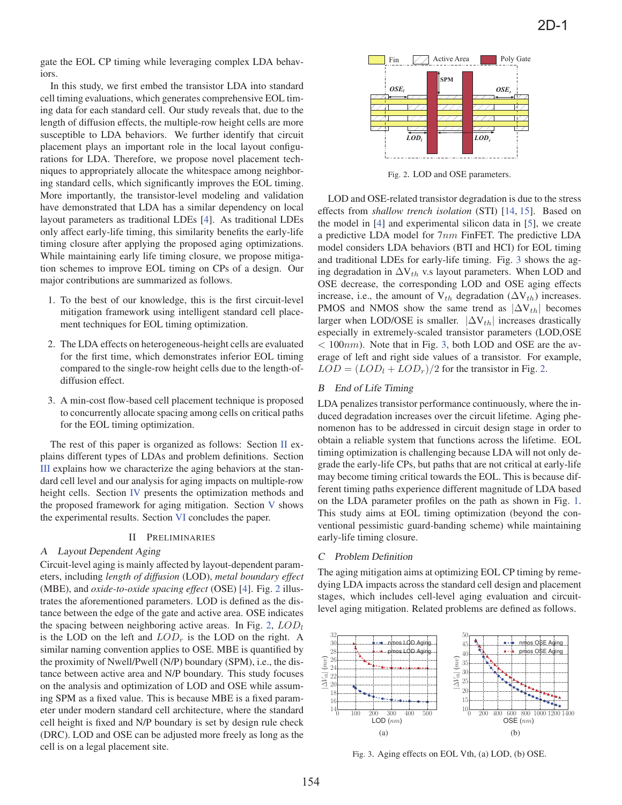gate the EOL CP timing while leveraging complex LDA behaviors.

In this study, we first embed the transistor LDA into standard cell timing evaluations, which generates comprehensive EOL timing data for each standard cell. Our study reveals that, due to the length of diffusion effects, the multiple-row height cells are more susceptible to LDA behaviors. We further identify that circuit placement plays an important role in the local layout configurations for LDA. Therefore, we propose novel placement techniques to appropriately allocate the whitespace among neighboring standard cells, which significantly improves the EOL timing. More importantly, the transistor-level modeling and validation have demonstrated that LDA has a similar dependency on local layout parameters as traditional LDEs [4]. As traditional LDEs only affect early-life timing, this similarity benefits the early-life timing closure after applying the proposed aging optimizations. While maintaining early life timing closure, we propose mitigation schemes to improve EOL timing on CPs of a design. Our major contributions are summarized as follows.

- 1. To the best of our knowledge, this is the first circuit-level mitigation framework using intelligent standard cell placement techniques for EOL timing optimization.
- 2. The LDA effects on heterogeneous-height cells are evaluated for the first time, which demonstrates inferior EOL timing compared to the single-row height cells due to the length-ofdiffusion effect.
- 3. A min-cost flow-based cell placement technique is proposed to concurrently allocate spacing among cells on critical paths for the EOL timing optimization.

The rest of this paper is organized as follows: Section  $\Pi$  explains different types of LDAs and problem definitions. Section III explains how we characterize the aging behaviors at the standard cell level and our analysis for aging impacts on multiple-row height cells. Section IV presents the optimization methods and the proposed framework for aging mitigation. Section V shows the experimental results. Section VI concludes the paper.

## II PRELIMINARIES

## A Layout Dependent Aging

Circuit-level aging is mainly affected by layout-dependent parameters, including *length of diffusion* (LOD), *metal boundary effect* (MBE), and *oxide-to-oxide spacing effect* (OSE) [4]. Fig. 2 illustrates the aforementioned parameters. LOD is defined as the distance between the edge of the gate and active area. OSE indicates the spacing between neighboring active areas. In Fig. 2,  $LOD<sub>l</sub>$ is the LOD on the left and  $LOD<sub>r</sub>$  is the LOD on the right. A similar naming convention applies to OSE. MBE is quantified by the proximity of Nwell/Pwell (N/P) boundary (SPM), i.e., the distance between active area and N/P boundary. This study focuses on the analysis and optimization of LOD and OSE while assuming SPM as a fixed value. This is because MBE is a fixed parameter under modern standard cell architecture, where the standard cell height is fixed and N/P boundary is set by design rule check (DRC). LOD and OSE can be adjusted more freely as long as the cell is on a legal placement site.



Fig. 2. LOD and OSE parameters.

LOD and OSE-related transistor degradation is due to the stress effects from *shallow trench isolation* (STI) [14, 15]. Based on the model in [4] and experimental silicon data in [5], we create a predictive LDA model for 7nm FinFET. The predictive LDA model considers LDA behaviors (BTI and HCI) for EOL timing and traditional LDEs for early-life timing. Fig. 3 shows the aging degradation in  $\Delta V_{th}$  v.s layout parameters. When LOD and OSE decrease, the corresponding LOD and OSE aging effects increase, i.e., the amount of  $V_{th}$  degradation ( $\Delta V_{th}$ ) increases. PMOS and NMOS show the same trend as  $|\Delta V_{th}|$  becomes larger when LOD/OSE is smaller.  $|\Delta V_{th}|$  increases drastically especially in extremely-scaled transistor parameters (LOD,OSE  $<$  100 $nm$ ). Note that in Fig. 3, both LOD and OSE are the average of left and right side values of a transistor. For example,  $LOD = (LOD<sub>l</sub> + LOD<sub>r</sub>)/2$  for the transistor in Fig. 2.

#### B End of Life Timing

LDA penalizes transistor performance continuously, where the induced degradation increases over the circuit lifetime. Aging phenomenon has to be addressed in circuit design stage in order to obtain a reliable system that functions across the lifetime. EOL timing optimization is challenging because LDA will not only degrade the early-life CPs, but paths that are not critical at early-life may become timing critical towards the EOL. This is because different timing paths experience different magnitude of LDA based on the LDA parameter profiles on the path as shown in Fig. 1. This study aims at EOL timing optimization (beyond the conventional pessimistic guard-banding scheme) while maintaining early-life timing closure.

#### C Problem Definition

The aging mitigation aims at optimizing EOL CP timing by remedying LDA impacts across the standard cell design and placement stages, which includes cell-level aging evaluation and circuitlevel aging mitigation. Related problems are defined as follows.



Fig. 3. Aging effects on EOL Vth, (a) LOD, (b) OSE.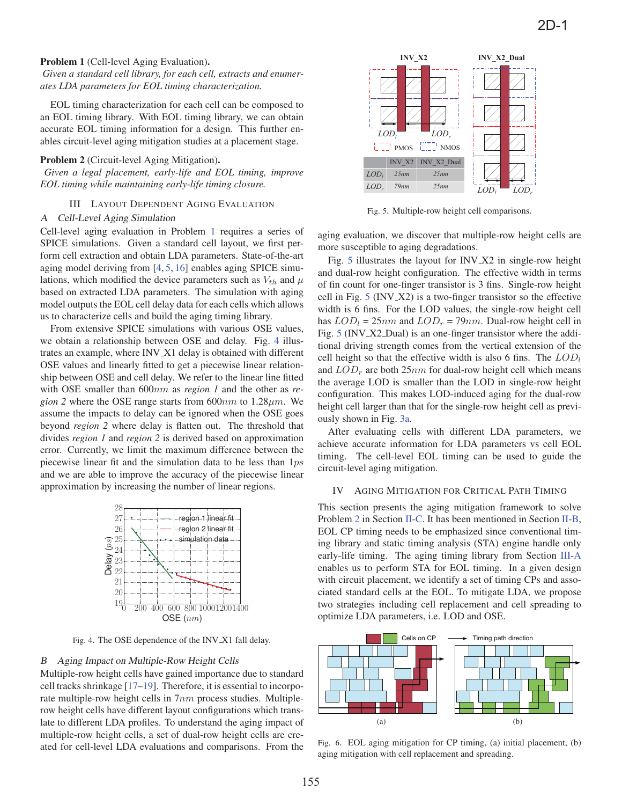# Problem 1 (Cell-level Aging Evaluation).

# *Given a standard cell library, for each cell, extracts and enumerates LDA parameters for EOL timing characterization.*

EOL timing characterization for each cell can be composed to an EOL timing library. With EOL timing library, we can obtain accurate EOL timing information for a design. This further enables circuit-level aging mitigation studies at a placement stage.

#### Problem 2 (Circuit-level Aging Mitigation).

*Given a legal placement, early-life and EOL timing, improve EOL timing while maintaining early-life timing closure.*

# III LAYOUT DEPENDENT AGING EVALUATION

#### A Cell-Level Aging Simulation

Cell-level aging evaluation in Problem 1 requires a series of SPICE simulations. Given a standard cell layout, we first perform cell extraction and obtain LDA parameters. State-of-the-art aging model deriving from [4, 5, 16] enables aging SPICE simulations, which modified the device parameters such as  $V_{th}$  and  $\mu$ based on extracted LDA parameters. The simulation with aging model outputs the EOL cell delay data for each cells which allows us to characterize cells and build the aging timing library.

From extensive SPICE simulations with various OSE values, we obtain a relationship between OSE and delay. Fig. 4 illustrates an example, where INV X1 delay is obtained with different OSE values and linearly fitted to get a piecewise linear relationship between OSE and cell delay. We refer to the linear line fitted with OSE smaller than 600nm as *region 1* and the other as *region 2* where the OSE range starts from  $600nm$  to  $1.28 \mu m$ . We assume the impacts to delay can be ignored when the OSE goes beyond *region 2* where delay is flatten out. The threshold that divides *region 1* and *region 2* is derived based on approximation error. Currently, we limit the maximum difference between the piecewise linear fit and the simulation data to be less than 1ps and we are able to improve the accuracy of the piecewise linear approximation by increasing the number of linear regions.



Fig. 4. The OSE dependence of the INV X1 fall delay.

#### B Aging Impact on Multiple-Row Height Cells

Multiple-row height cells have gained importance due to standard cell tracks shrinkage [17–19]. Therefore, it is essential to incorporate multiple-row height cells in 7nm process studies. Multiplerow height cells have different layout configurations which translate to different LDA profiles. To understand the aging impact of multiple-row height cells, a set of dual-row height cells are created for cell-level LDA evaluations and comparisons. From the



Fig. 5. Multiple-row height cell comparisons.

aging evaluation, we discover that multiple-row height cells are more susceptible to aging degradations.

Fig. 5 illustrates the layout for INV X2 in single-row height and dual-row height configuration. The effective width in terms of fin count for one-finger transistor is 3 fins. Single-row height cell in Fig. 5 (INV X2) is a two-finger transistor so the effective width is 6 fins. For the LOD values, the single-row height cell has  $LOD_l = 25nm$  and  $LOD_r = 79nm$ . Dual-row height cell in Fig. 5 (INV\_X2\_Dual) is an one-finger transistor where the additional driving strength comes from the vertical extension of the cell height so that the effective width is also 6 fins. The  $LOD_l$ and  $LOD<sub>r</sub>$  are both 25nm for dual-row height cell which means the average LOD is smaller than the LOD in single-row height configuration. This makes LOD-induced aging for the dual-row height cell larger than that for the single-row height cell as previously shown in Fig. 3a.

After evaluating cells with different LDA parameters, we achieve accurate information for LDA parameters vs cell EOL timing. The cell-level EOL timing can be used to guide the circuit-level aging mitigation.

#### IV AGING MITIGATION FOR CRITICAL PATH TIMING

This section presents the aging mitigation framework to solve Problem 2 in Section II-C. It has been mentioned in Section II-B, EOL CP timing needs to be emphasized since conventional timing library and static timing analysis (STA) engine handle only early-life timing. The aging timing library from Section III-A enables us to perform STA for EOL timing. In a given design with circuit placement, we identify a set of timing CPs and associated standard cells at the EOL. To mitigate LDA, we propose two strategies including cell replacement and cell spreading to optimize LDA parameters, i.e. LOD and OSE.



Fig. 6. EOL aging mitigation for CP timing, (a) initial placement, (b) aging mitigation with cell replacement and spreading.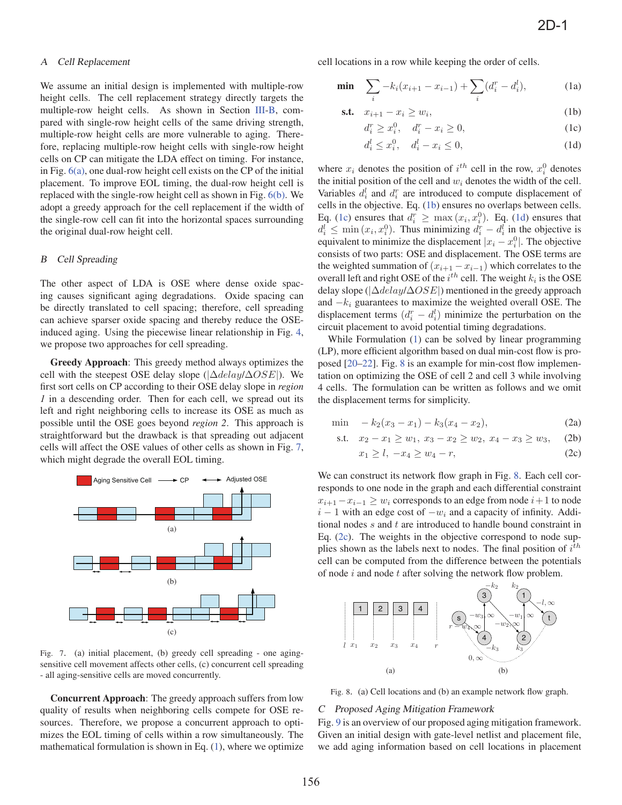# A Cell Replacement

We assume an initial design is implemented with multiple-row height cells. The cell replacement strategy directly targets the multiple-row height cells. As shown in Section III-B, compared with single-row height cells of the same driving strength, multiple-row height cells are more vulnerable to aging. Therefore, replacing multiple-row height cells with single-row height cells on CP can mitigate the LDA effect on timing. For instance, in Fig.  $6(a)$ , one dual-row height cell exists on the CP of the initial placement. To improve EOL timing, the dual-row height cell is replaced with the single-row height cell as shown in Fig. 6(b). We adopt a greedy approach for the cell replacement if the width of the single-row cell can fit into the horizontal spaces surrounding the original dual-row height cell.

#### B Cell Spreading

The other aspect of LDA is OSE where dense oxide spacing causes significant aging degradations. Oxide spacing can be directly translated to cell spacing; therefore, cell spreading can achieve sparser oxide spacing and thereby reduce the OSEinduced aging. Using the piecewise linear relationship in Fig. 4, we propose two approaches for cell spreading.

Greedy Approach: This greedy method always optimizes the cell with the steepest OSE delay slope ( $|\Delta delay/\Delta OSE|$ ). We first sort cells on CP according to their OSE delay slope in *region 1* in a descending order. Then for each cell, we spread out its left and right neighboring cells to increase its OSE as much as possible until the OSE goes beyond *region 2*. This approach is straightforward but the drawback is that spreading out adjacent cells will affect the OSE values of other cells as shown in Fig. 7, which might degrade the overall EOL timing.



Fig. 7. (a) initial placement, (b) greedy cell spreading - one agingsensitive cell movement affects other cells, (c) concurrent cell spreading - all aging-sensitive cells are moved concurrently.

Concurrent Approach: The greedy approach suffers from low quality of results when neighboring cells compete for OSE resources. Therefore, we propose a concurrent approach to optimizes the EOL timing of cells within a row simultaneously. The mathematical formulation is shown in Eq. (1), where we optimize cell locations in a row while keeping the order of cells.

$$
\min \sum_{i} -k_i(x_{i+1} - x_{i-1}) + \sum_{i} (d_i^r - d_i^l), \tag{1a}
$$

$$
\text{s.t.} \quad x_{i+1} - x_i \ge w_i,\tag{1b}
$$

$$
d_i^r \ge x_i^0, \quad d_i^r - x_i \ge 0,
$$
\n(1c)

$$
d_i^l \le x_i^0, \quad d_i^l - x_i \le 0,\tag{1d}
$$

where  $x_i$  denotes the position of  $i^{th}$  cell in the row,  $x_i^0$  denotes the initial position of the cell and we denotes the width of the cell the initial position of the cell and  $w_i$  denotes the width of the cell. Variables  $d_i^l$  and  $d_i^r$  are introduced to compute displacement of calls in the objective Eq. (1b) ensures no overlaps between calls cells in the objective. Eq. (1b) ensures no overlaps between cells. Eq. (1c) ensures that  $d_i^r \ge \max(x_i, x_i^0)$ . Eq. (1d) ensures that  $d_i^l < \min(x_i, x_i^0)$ . Thus minimizing  $d_i^r = d_i^l$  in the objective is  $d_i^{\bar{i}} \leq \min(x_i, x_i^0)$ . Thus minimizing  $d_i^{\bar{i}} - d_i^{\bar{i}}$  in the objective is equivalent to minimize the displacement  $|x_i - x^0|$ . The objective equivalent to minimize the displacement  $|x_i - x_i^0|$ . The objective consists of two parts: OSE and displacement. The OSE terms are consists of two parts: OSE and displacement. The OSE terms are the weighted summation of  $(x_{i+1} - x_{i-1})$  which correlates to the overall left and right OSE of the  $i^{th}$  cell. The weight  $k_i$  is the OSE delay done ( $|\Delta d_{\text{elec}}/\Delta OSE|$ ) mentioned in the greedy energoes delay slope ( $|\Delta$ delay/ $\Delta OSE$ ) mentioned in the greedy approach and  $-k_i$  guarantees to maximize the weighted overall OSE. The displacement terms  $(d_i^r - d_i^l)$  minimize the perturbation on the circuit placement to avoid potential timing degradations circuit placement to avoid potential timing degradations.

While Formulation (1) can be solved by linear programming (LP), more efficient algorithm based on dual min-cost flow is proposed [20–22]. Fig. 8 is an example for min-cost flow implementation on optimizing the OSE of cell 2 and cell 3 while involving 4 cells. The formulation can be written as follows and we omit the displacement terms for simplicity.

$$
\min \quad -k_2(x_3 - x_1) - k_3(x_4 - x_2), \tag{2a}
$$

s.t. 
$$
x_2 - x_1 \ge w_1
$$
,  $x_3 - x_2 \ge w_2$ ,  $x_4 - x_3 \ge w_3$ , (2b)

$$
x_1 \ge l, \ -x_4 \ge w_4 - r,\tag{2c}
$$

We can construct its network flow graph in Fig. 8. Each cell corresponds to one node in the graph and each differential constraint  $x_{i+1}-x_{i-1} \geq w_i$  corresponds to an edge from node  $i+1$  to node  $i - 1$  with an edge cost of  $-w_i$  and a capacity of infinity. Additional nodes  $s$  and  $t$  are introduced to handle bound constraint in Eq. (2c). The weights in the objective correspond to node supplies shown as the labels next to nodes. The final position of  $i^{\text{th}}$ cell can be computed from the difference between the potentials of node  $i$  and node  $t$  after solving the network flow problem.



Fig. 8. (a) Cell locations and (b) an example network flow graph.

# C Proposed Aging Mitigation Framework

Fig. 9 is an overview of our proposed aging mitigation framework. Given an initial design with gate-level netlist and placement file, we add aging information based on cell locations in placement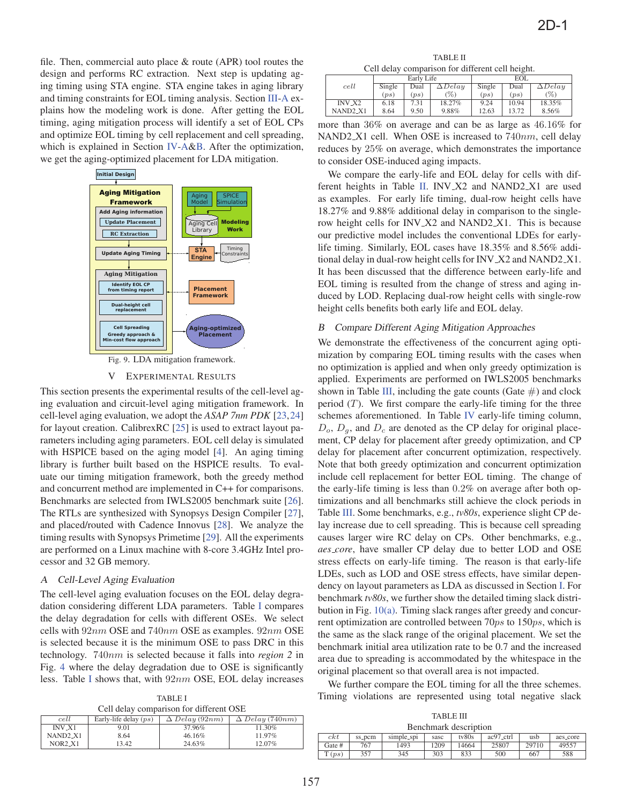file. Then, commercial auto place & route (APR) tool routes the design and performs RC extraction. Next step is updating aging timing using STA engine. STA engine takes in aging library and timing constraints for EOL timing analysis. Section III-A explains how the modeling work is done. After getting the EOL timing, aging mitigation process will identify a set of EOL CPs and optimize EOL timing by cell replacement and cell spreading, which is explained in Section IV-A&B. After the optimization, we get the aging-optimized placement for LDA mitigation.



Fig. 9. LDA mitigation framework.

#### V EXPERIMENTAL RESULTS

This section presents the experimental results of the cell-level aging evaluation and circuit-level aging mitigation framework. In cell-level aging evaluation, we adopt the *ASAP 7nm PDK* [23,24] for layout creation. CalibrexRC [25] is used to extract layout parameters including aging parameters. EOL cell delay is simulated with HSPICE based on the aging model [4]. An aging timing library is further built based on the HSPICE results. To evaluate our timing mitigation framework, both the greedy method and concurrent method are implemented in C++ for comparisons. Benchmarks are selected from IWLS2005 benchmark suite [26]. The RTLs are synthesized with Synopsys Design Compiler [27], and placed/routed with Cadence Innovus [28]. We analyze the timing results with Synopsys Primetime [29]. All the experiments are performed on a Linux machine with 8-core 3.4GHz Intel processor and 32 GB memory.

# A Cell-Level Aging Evaluation

The cell-level aging evaluation focuses on the EOL delay degradation considering different LDA parameters. Table I compares the delay degradation for cells with different OSEs. We select cells with 92nm OSE and 740nm OSE as examples. 92nm OSE is selected because it is the minimum OSE to pass DRC in this technology. 740nm is selected because it falls into *region 2* in Fig. 4 where the delay degradation due to OSE is significantly less. Table I shows that, with 92nm OSE, EOL delay increases

TABLE I Cell delay comparison for different OSE

| cell                              | Early-life delay $(ps)$ | $\Delta$ Delay (92nm) | $\Delta$ Delay (740nm) |
|-----------------------------------|-------------------------|-----------------------|------------------------|
| <b>INV X1</b>                     | 9.01                    | 37.96%                | 11.30%                 |
| NAND <sub>2</sub> _X <sub>1</sub> | 8.64                    | 46.16%                | 11.97%                 |
| NOR2_X1                           | 13.42                   | 24.63%                | 12.07%                 |

TABLE II Cell delay comparison for different cell height.

|                                  |        | Early Life |                | <b>EOL</b> |         |                |  |  |
|----------------------------------|--------|------------|----------------|------------|---------|----------------|--|--|
| cell                             | Single | Dual       | $\Delta$ Delay | Single     | Dual    | $\Delta$ Delay |  |  |
|                                  | (ns)   | $_{(ps)}$  | $(\%)$         | (ps)       | $_{DS}$ | $(\%)$         |  |  |
| $INV_ X2$                        | 6.18   | 7.31       | 18.27%         | 9.24       | 10.94   | 18.35%         |  |  |
| NAND <sub>2</sub> X <sub>1</sub> | 8.64   | 9.50       | 9.88%          | 12.63      | 13.72   | 8.56%          |  |  |

more than 36% on average and can be as large as 46.16% for NAND2\_X1 cell. When OSE is increased to  $740nm$ , cell delay reduces by 25% on average, which demonstrates the importance to consider OSE-induced aging impacts.

We compare the early-life and EOL delay for cells with different heights in Table II. INV X2 and NAND2 X1 are used as examples. For early life timing, dual-row height cells have 18.27% and 9.88% additional delay in comparison to the singlerow height cells for INV X2 and NAND2 X1. This is because our predictive model includes the conventional LDEs for earlylife timing. Similarly, EOL cases have 18.35% and 8.56% additional delay in dual-row height cells for INV X2 and NAND2 X1. It has been discussed that the difference between early-life and EOL timing is resulted from the change of stress and aging induced by LOD. Replacing dual-row height cells with single-row height cells benefits both early life and EOL delay.

# B Compare Different Aging Mitigation Approaches

We demonstrate the effectiveness of the concurrent aging optimization by comparing EOL timing results with the cases when no optimization is applied and when only greedy optimization is applied. Experiments are performed on IWLS2005 benchmarks shown in Table III, including the gate counts (Gate  $#$ ) and clock period  $(T)$ . We first compare the early-life timing for the three schemes aforementioned. In Table IV early-life timing column,  $D_o$ ,  $D_g$ , and  $D_c$  are denoted as the CP delay for original placement, CP delay for placement after greedy optimization, and CP delay for placement after concurrent optimization, respectively. Note that both greedy optimization and concurrent optimization include cell replacement for better EOL timing. The change of the early-life timing is less than 0.2% on average after both optimizations and all benchmarks still achieve the clock periods in Table III. Some benchmarks, e.g., *tv80s*, experience slight CP delay increase due to cell spreading. This is because cell spreading causes larger wire RC delay on CPs. Other benchmarks, e.g., *aes core*, have smaller CP delay due to better LOD and OSE stress effects on early-life timing. The reason is that early-life LDEs, such as LOD and OSE stress effects, have similar dependency on layout parameters as LDA as discussed in Section I. For benchmark *tv80s*, we further show the detailed timing slack distribution in Fig. 10(a). Timing slack ranges after greedy and concurrent optimization are controlled between 70ps to 150ps, which is the same as the slack range of the original placement. We set the benchmark initial area utilization rate to be 0.7 and the increased area due to spreading is accommodated by the whitespace in the original placement so that overall area is not impacted.

We further compare the EOL timing for all the three schemes. Timing violations are represented using total negative slack

TABLE III Benchmark description

| Denemmark acsemption |        |            |      |       |           |       |          |  |  |  |  |
|----------------------|--------|------------|------|-------|-----------|-------|----------|--|--|--|--|
| $\epsilon$ kt        | ss_pcm | simple_spi | sasc | tv80s | ac97_ctrl | usb   | aes_core |  |  |  |  |
| Gate #               | 767    | 1493       | 1209 | 14664 | 25807     | 29710 | 49557    |  |  |  |  |
| T(ps)                | 357    | 345        | 303  | 833   | 500       | 667   | 588      |  |  |  |  |
|                      |        |            |      |       |           |       |          |  |  |  |  |